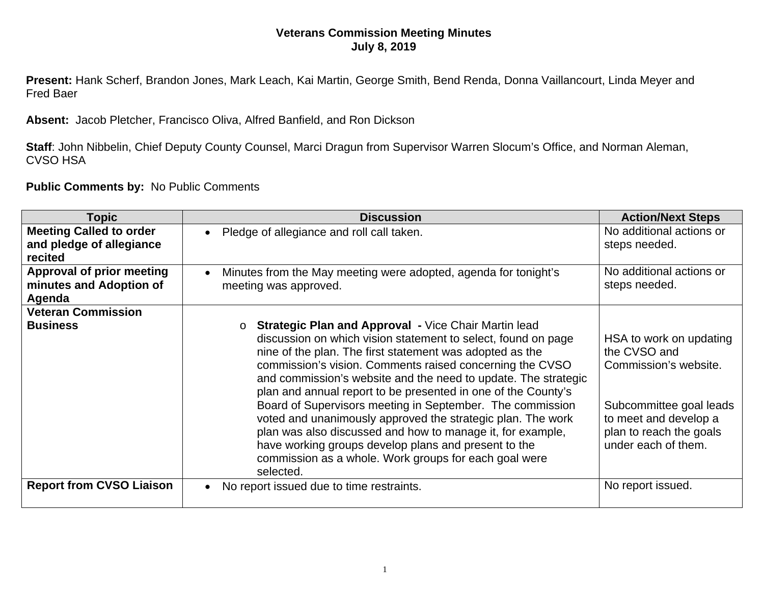## **Veterans Commission Meeting Minutes July 8, 2019**

**Present:** Hank Scherf, Brandon Jones, Mark Leach, Kai Martin, George Smith, Bend Renda, Donna Vaillancourt, Linda Meyer and Fred Baer

**Absent:** Jacob Pletcher, Francisco Oliva, Alfred Banfield, and Ron Dickson

**Staff**: John Nibbelin, Chief Deputy County Counsel, Marci Dragun from Supervisor Warren Slocum's Office, and Norman Aleman, CVSO HSA

**Public Comments by:** No Public Comments

| Topic                                                                 | <b>Discussion</b>                                                                                                                                                                                                                                                                                                                                                                                                                                                                                                                                                                                                                                                                                              | <b>Action/Next Steps</b>                                                                                                                                               |
|-----------------------------------------------------------------------|----------------------------------------------------------------------------------------------------------------------------------------------------------------------------------------------------------------------------------------------------------------------------------------------------------------------------------------------------------------------------------------------------------------------------------------------------------------------------------------------------------------------------------------------------------------------------------------------------------------------------------------------------------------------------------------------------------------|------------------------------------------------------------------------------------------------------------------------------------------------------------------------|
| <b>Meeting Called to order</b><br>and pledge of allegiance<br>recited | Pledge of allegiance and roll call taken.                                                                                                                                                                                                                                                                                                                                                                                                                                                                                                                                                                                                                                                                      | No additional actions or<br>steps needed.                                                                                                                              |
| <b>Approval of prior meeting</b><br>minutes and Adoption of<br>Agenda | Minutes from the May meeting were adopted, agenda for tonight's<br>meeting was approved.                                                                                                                                                                                                                                                                                                                                                                                                                                                                                                                                                                                                                       | No additional actions or<br>steps needed.                                                                                                                              |
| <b>Veteran Commission</b>                                             |                                                                                                                                                                                                                                                                                                                                                                                                                                                                                                                                                                                                                                                                                                                |                                                                                                                                                                        |
| <b>Business</b>                                                       | <b>Strategic Plan and Approval - Vice Chair Martin lead</b><br>$\Omega$<br>discussion on which vision statement to select, found on page<br>nine of the plan. The first statement was adopted as the<br>commission's vision. Comments raised concerning the CVSO<br>and commission's website and the need to update. The strategic<br>plan and annual report to be presented in one of the County's<br>Board of Supervisors meeting in September. The commission<br>voted and unanimously approved the strategic plan. The work<br>plan was also discussed and how to manage it, for example,<br>have working groups develop plans and present to the<br>commission as a whole. Work groups for each goal were | HSA to work on updating<br>the CVSO and<br>Commission's website.<br>Subcommittee goal leads<br>to meet and develop a<br>plan to reach the goals<br>under each of them. |
|                                                                       | selected.                                                                                                                                                                                                                                                                                                                                                                                                                                                                                                                                                                                                                                                                                                      |                                                                                                                                                                        |
| <b>Report from CVSO Liaison</b>                                       | No report issued due to time restraints.                                                                                                                                                                                                                                                                                                                                                                                                                                                                                                                                                                                                                                                                       | No report issued.                                                                                                                                                      |